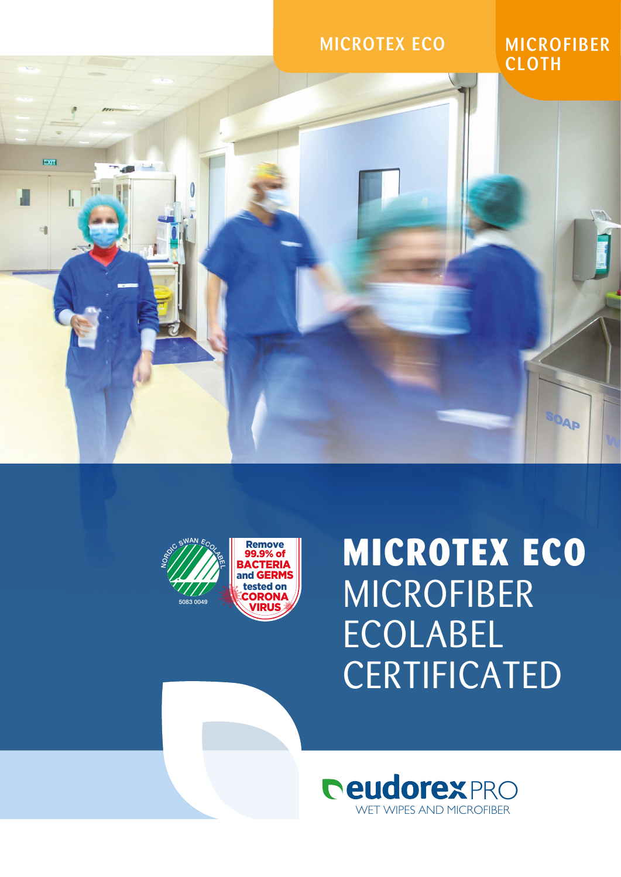

MICROFIBER **CLOTH** 

SOAP



EXIT

h

## **MICROTEX ECO** MICROFIBER ECOLABEL **CERTIFICATED**